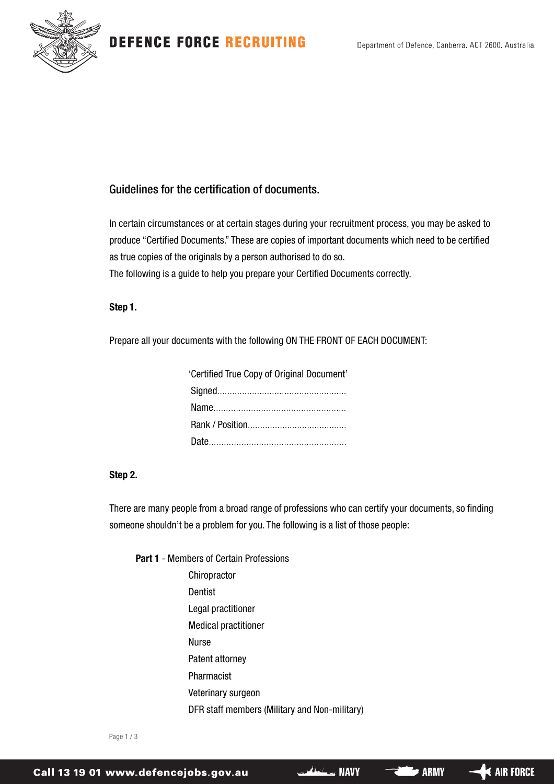**DEFENCE FORCE RECRUITING** 



### Guidelines for the certification of documents.

In certain circumstances or at certain stages during your recruitment process, you may be asked to produce "Certified Documents." These are copies of important documents which need to be certified as true copies of the originals by a person authorised to do so.

The following is a guide to help you prepare your Certified Documents correctly.

### **Step 1.**

Prepare all your documents with the following ON THE FRONT OF EACH DOCUMENT:

| 'Certified True Copy of Original Document' |
|--------------------------------------------|
|                                            |
|                                            |
|                                            |
|                                            |

### **Step 2.**

There are many people from a broad range of professions who can certify your documents, so finding someone shouldn't be a problem for you. The following is a list of those people:

**Part 1** - Members of Certain Professions **Chiropractor** Dentist Legal practitioner Medical practitioner Nurse Patent attorney Pharmacist Veterinary surgeon DFR staff members (Military and Non-military)

Page 1 / 3

 $\blacktriangleleft$  air force

**ARMY**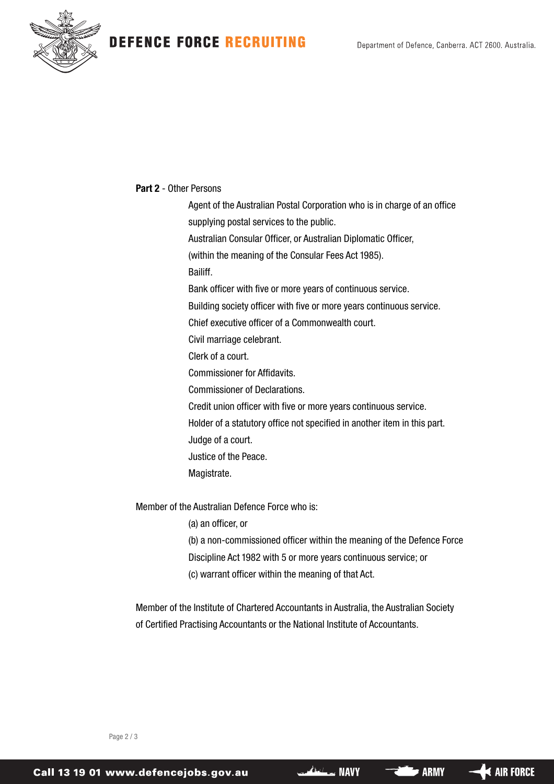# **DEFENCE FORCE RECRUITING**



### **Part 2** - Other Persons

Agent of the Australian Postal Corporation who is in charge of an office supplying postal services to the public. Australian Consular Officer, or Australian Diplomatic Officer, (within the meaning of the Consular Fees Act 1985). Bailiff. Bank officer with five or more years of continuous service. Building society officer with five or more years continuous service. Chief executive officer of a Commonwealth court. Civil marriage celebrant. Clerk of a court. Commissioner for Affidavits. Commissioner of Declarations. Credit union officer with five or more years continuous service. Holder of a statutory office not specified in another item in this part. Judge of a court. Justice of the Peace. Magistrate.

Member of the Australian Defence Force who is:

(a) an officer, or

(b) a non-commissioned officer within the meaning of the Defence Force Discipline Act 1982 with 5 or more years continuous service; or (c) warrant officer within the meaning of that Act.

Member of the Institute of Chartered Accountants in Australia, the Australian Society of Certified Practising Accountants or the National Institute of Accountants.

Page 2 / 3

 $\blacktriangleleft$  air force

**ARMY**